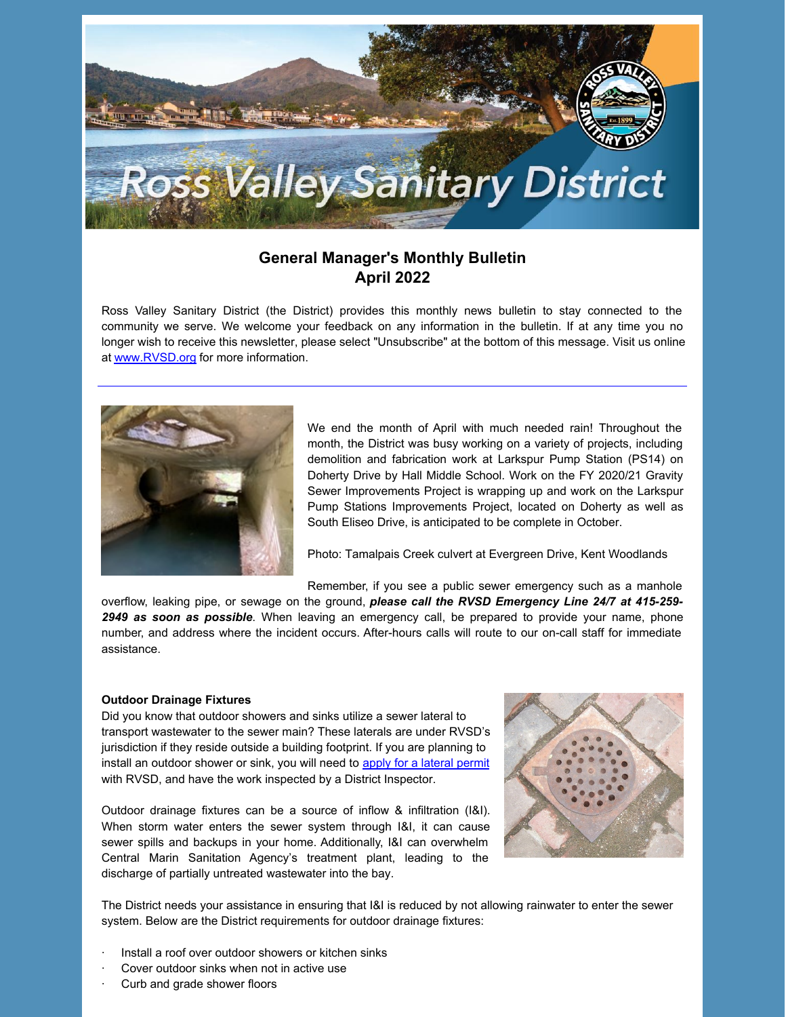

## **General Manager's Monthly Bulletin April 2022**

Ross Valley Sanitary District (the District) provides this monthly news bulletin to stay connected to the community we serve. We welcome your feedback on any information in the bulletin. If at any time you no longer wish to receive this newsletter, please select "Unsubscribe" at the bottom of this message. Visit us online at [www.RVSD.org](http://www.rvsd.org) for more information.



We end the month of April with much needed rain! Throughout the month, the District was busy working on a variety of projects, including demolition and fabrication work at Larkspur Pump Station (PS14) on Doherty Drive by Hall Middle School. Work on the FY 2020/21 Gravity Sewer Improvements Project is wrapping up and work on the Larkspur Pump Stations Improvements Project, located on Doherty as well as South Eliseo Drive, is anticipated to be complete in October.

Photo: Tamalpais Creek culvert at Evergreen Drive, Kent Woodlands

Remember, if you see a public sewer emergency such as a manhole overflow, leaking pipe, or sewage on the ground, *please call the RVSD Emergency Line 24/7 at 415-259- 2949 as soon as possible*. When leaving an emergency call, be prepared to provide your name, phone number, and address where the incident occurs. After-hours calls will route to our on-call staff for immediate assistance.

#### **Outdoor Drainage Fixtures**

Did you know that outdoor showers and sinks utilize a sewer lateral to transport wastewater to the sewer main? These laterals are under RVSD's jurisdiction if they reside outside a building footprint. If you are planning to install an outdoor shower or sink, you will need to apply for a [lateral](https://www.rvsd.org/175/Permits) permit with RVSD, and have the work inspected by a District Inspector.

Outdoor drainage fixtures can be a source of inflow & infiltration (I&I). When storm water enters the sewer system through I&I, it can cause sewer spills and backups in your home. Additionally, I&I can overwhelm Central Marin Sanitation Agency's treatment plant, leading to the discharge of partially untreated wastewater into the bay.



The District needs your assistance in ensuring that I&I is reduced by not allowing rainwater to enter the sewer system. Below are the District requirements for outdoor drainage fixtures:

- Install a roof over outdoor showers or kitchen sinks
- Cover outdoor sinks when not in active use
- Curb and grade shower floors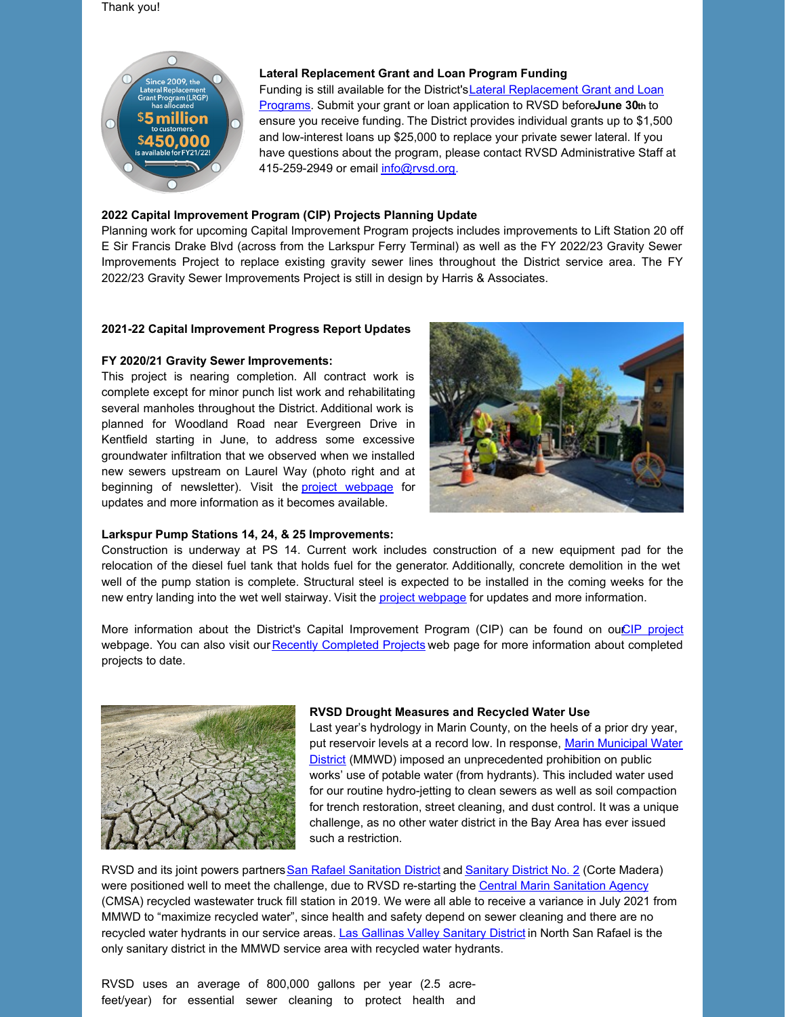#### Thank you!



#### **Lateral Replacement Grant and Loan Program Funding**

Funding is still available for the District's Lateral Replacement Grant and Loan Programs. Submit your grant or loan application to RVSD before**June 30th** to ensure you receive funding. The District provides individual grants up to \$1,500 and low-interest loans up \$25,000 to replace your private sewer lateral. If you have questions about the program, please contact RVSD Administrative Staff at 415-259-2949 or email [info@rvsd.org](mailto:info@rvsd.org).

### **2022 Capital Improvement Program (CIP) Projects Planning Update**

Planning work for upcoming Capital Improvement Program projects includes improvements to Lift Station 20 off E Sir Francis Drake Blvd (across from the Larkspur Ferry Terminal) as well as the FY 2022/23 Gravity Sewer Improvements Project to replace existing gravity sewer lines throughout the District service area. The FY 2022/23 Gravity Sewer Improvements Project is still in design by Harris & Associates.

#### **2021-22 Capital Improvement Progress Report Updates**

#### **FY 2020/21 Gravity Sewer Improvements:**

This project is nearing completion. All contract work is complete except for minor punch list work and rehabilitating several manholes throughout the District. Additional work is planned for Woodland Road near Evergreen Drive in Kentfield starting in June, to address some excessive groundwater infiltration that we observed when we installed new sewers upstream on Laurel Way (photo right and at beginning of newsletter). Visit the project [webpage](https://www.rvsd.org/239/) for updates and more information as it becomes available.



#### **Larkspur Pump Stations 14, 24, & 25 Improvements:**

Construction is underway at PS 14. Current work includes construction of a new equipment pad for the relocation of the diesel fuel tank that holds fuel for the generator. Additionally, concrete demolition in the wet well of the pump station is complete. Structural steel is expected to be installed in the coming weeks for the new entry landing into the wet well stairway. Visit the project [webpage](https://rvsd.org/241/Larkspur-Pump-Stations-14-24-25-Improvem) for updates and more information.

More information about the District's Capital Improvement Program (CIP) can be found on ou*CIP [project](https://rvsd.org/194/Capital-Improvement-Program)* webpage. You can also visit our Recently [Completed](https://rvsd.org/240/) Projects web page for more information about completed projects to date.



#### **RVSD Drought Measures and Recycled Water Use**

Last year's hydrology in Marin County, on the heels of a prior dry year, put reservoir levels at a record low. In response, Marin Municipal Water District (MMWD) imposed an [unprecedented](https://www.marinwater.org/) prohibition on public works' use of potable water (from hydrants). This included water used for our routine hydro-jetting to clean sewers as well as soil compaction for trench restoration, street cleaning, and dust control. It was a unique challenge, as no other water district in the Bay Area has ever issued such a restriction.

RVSD and its joint powers partners San Rafael [Sanitation](https://www.cityofsanrafael.org/departments/sanitation-district/) District and [Sanitary](https://townofcortemadera.org/391/Sanitary-District-No-2) District No. 2 (Corte Madera) were positioned well to meet the challenge, due to RVSD re-starting the Central Marin [Sanitation](https://www.cmsa.us/) Agency (CMSA) recycled wastewater truck fill station in 2019. We were all able to receive a variance in July 2021 from MMWD to "maximize recycled water", since health and safety depend on sewer cleaning and there are no recycled water hydrants in our service areas. Las Gallinas Valley [Sanitary](http://www.lgvsd.org/) District in North San Rafael is the only sanitary district in the MMWD service area with recycled water hydrants.

RVSD uses an average of 800,000 gallons per year (2.5 acrefeet/year) for essential sewer cleaning to protect health and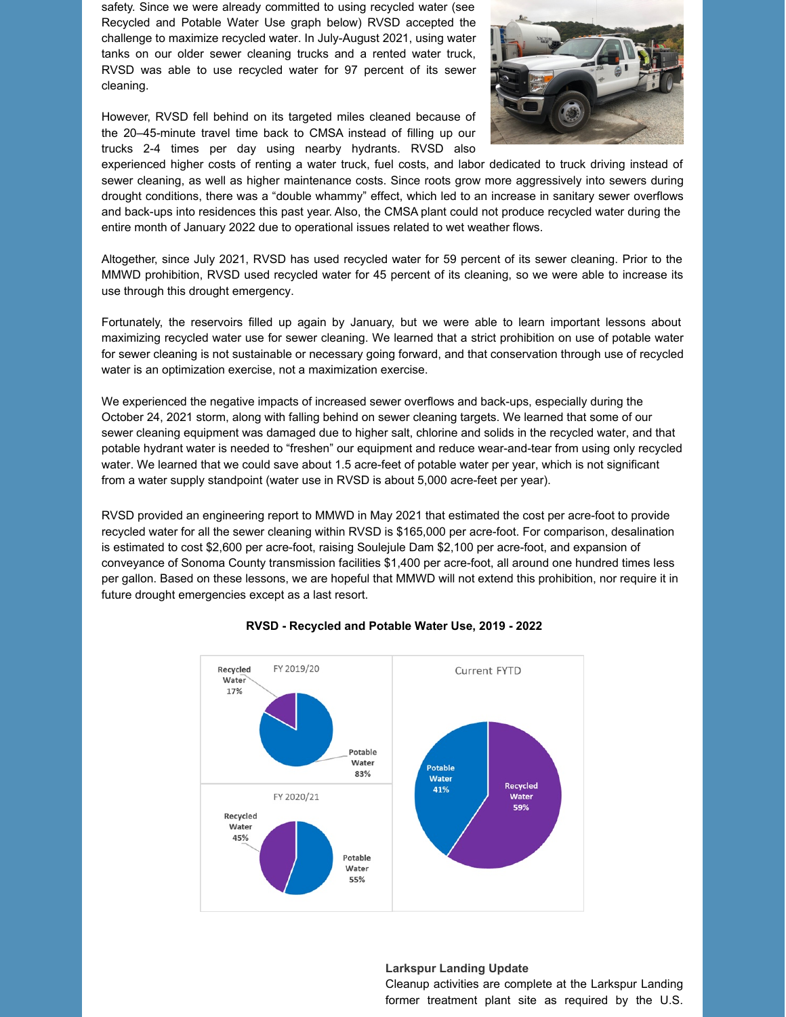safety. Since we were already committed to using recycled water (see Recycled and Potable Water Use graph below) RVSD accepted the challenge to maximize recycled water. In July-August 2021, using water tanks on our older sewer cleaning trucks and a rented water truck, RVSD was able to use recycled water for 97 percent of its sewer cleaning.

However, RVSD fell behind on its targeted miles cleaned because of the 20–45-minute travel time back to CMSA instead of filling up our trucks 2-4 times per day using nearby hydrants. RVSD also



experienced higher costs of renting a water truck, fuel costs, and labor dedicated to truck driving instead of sewer cleaning, as well as higher maintenance costs. Since roots grow more aggressively into sewers during drought conditions, there was a "double whammy" effect, which led to an increase in sanitary sewer overflows and back-ups into residences this past year. Also, the CMSA plant could not produce recycled water during the entire month of January 2022 due to operational issues related to wet weather flows.

Altogether, since July 2021, RVSD has used recycled water for 59 percent of its sewer cleaning. Prior to the MMWD prohibition, RVSD used recycled water for 45 percent of its cleaning, so we were able to increase its use through this drought emergency.

Fortunately, the reservoirs filled up again by January, but we were able to learn important lessons about maximizing recycled water use for sewer cleaning. We learned that a strict prohibition on use of potable water for sewer cleaning is not sustainable or necessary going forward, and that conservation through use of recycled water is an optimization exercise, not a maximization exercise.

We experienced the negative impacts of increased sewer overflows and back-ups, especially during the October 24, 2021 storm, along with falling behind on sewer cleaning targets. We learned that some of our sewer cleaning equipment was damaged due to higher salt, chlorine and solids in the recycled water, and that potable hydrant water is needed to "freshen" our equipment and reduce wear-and-tear from using only recycled water. We learned that we could save about 1.5 acre-feet of potable water per year, which is not significant from a water supply standpoint (water use in RVSD is about 5,000 acre-feet per year).

RVSD provided an engineering report to MMWD in May 2021 that estimated the cost per acre-foot to provide recycled water for all the sewer cleaning within RVSD is \$165,000 per acre-foot. For comparison, desalination is estimated to cost \$2,600 per acre-foot, raising Soulejule Dam \$2,100 per acre-foot, and expansion of conveyance of Sonoma County transmission facilities \$1,400 per acre-foot, all around one hundred times less per gallon. Based on these lessons, we are hopeful that MMWD will not extend this prohibition, nor require it in future drought emergencies except as a last resort.



#### **RVSD - Recycled and Potable Water Use, 2019 - 2022**

#### **Larkspur Landing Update**

Cleanup activities are complete at the Larkspur Landing former treatment plant site as required by the U.S.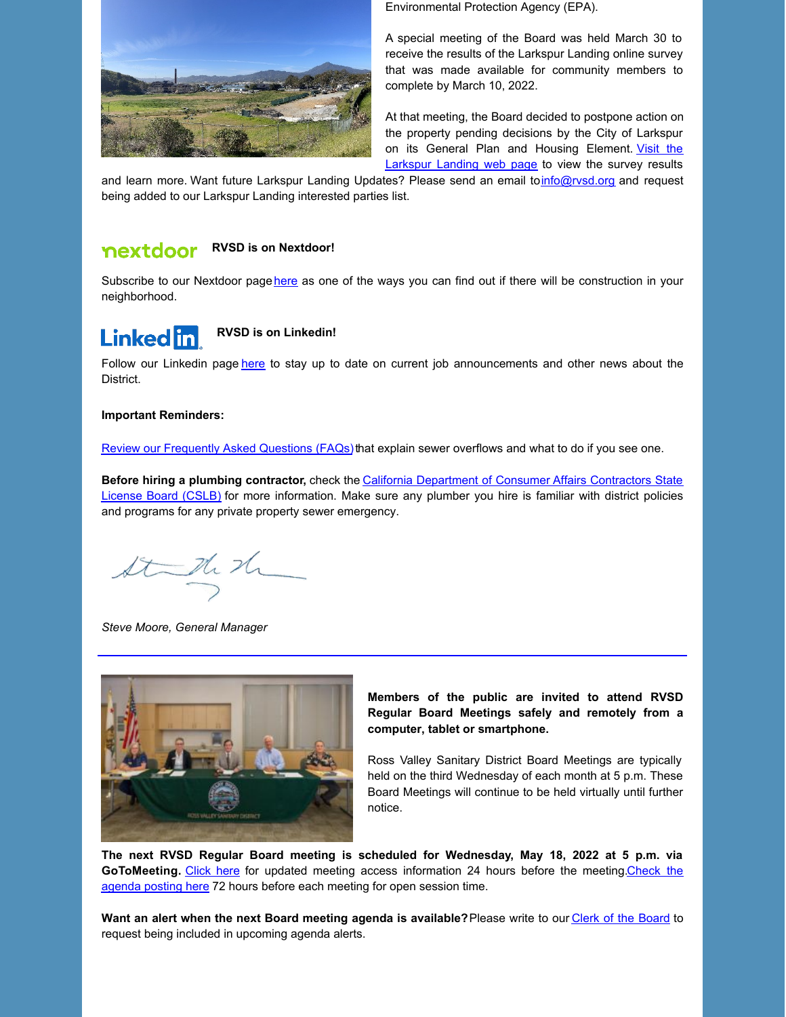

Environmental Protection Agency (EPA).

A special meeting of the Board was held March 30 to receive the results of the Larkspur Landing online survey that was made available for community members to complete by March 10, 2022.

At that meeting, the Board decided to postpone action on the property pending decisions by the City of Larkspur on its General Plan and Housing [Element.](https://rvsd.org/237/) Visit the **Larkspur Landing web page to view the survey results** 

and learn more. Want future Larkspur Landing Updates? Please send an email to[info@rvsd.org](mailto:info@rvsd.org) and request being added to our Larkspur Landing interested parties list.

#### nextdoor **RVSD is on Nextdoor!**

Subscribe to our Nextdoor page [here](https://nextdoor.com/agency-detail/ca/ross-valley/ross-valley-sanitary-district/) as one of the ways you can find out if there will be construction in your neighborhood.

# **Linked** in

**RVSD is on Linkedin!**

Follow our Linkedin page [here](https://www.linkedin.com/company/ross-valley-sanitary-district) to stay up to date on current job announcements and other news about the District.

#### **Important Reminders:**

Review our [Frequently](https://www.rvsd.org/faq.aspx?qid=71) Asked Questions (FAQs) that explain sewer overflows and what to do if you see one.

**Before hiring a plumbing contractor,** check the California [Department](http://www.cslb.ca.gov/OnlineServices/CheckLicenseII/CheckLicense.aspx) of Consumer Affairs Contractors State License Board (CSLB) for more information. Make sure any plumber you hire is familiar with district policies and programs for any private property sewer emergency.

State the

*Steve Moore, General Manager*



**Members of the public are invited to attend RVSD Regular Board Meetings safely and remotely from a computer, tablet or smartphone.**

Ross Valley Sanitary District Board Meetings are typically held on the third Wednesday of each month at 5 p.m. These Board Meetings will continue to be held virtually until further notice.

**The next RVSD Regular Board meeting is scheduled for Wednesday, May 18, 2022 at 5 p.m. via** [GoToMeeting.](https://rvsd.org/agendacenter) [Click](https://rvsd.org/198/Board-of-Directors-Meetings) here for updated meeting access information 24 hours before the meeting.Check the agenda posting here 72 hours before each meeting for open session time.

**Want an alert when the next Board meeting agenda is available?**Please write to our Clerk of the [Board](mailto:clerk@rvsd.org) to request being included in upcoming agenda alerts.